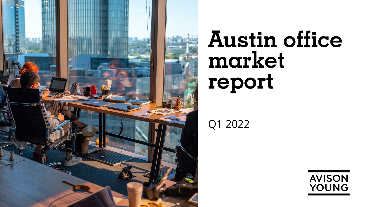

# **Austin office market report**

Q1 2022

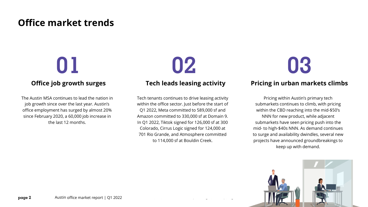### **Office market trends**

# **01 02 03**

### **Office job growth surges**

The Austin MSA continues to lead the nation in job growth since over the last year. Austin's office employment has surged by almost 20% since February 2020, a 60,000 job increase in the last 12 months.

**Tech leads leasing activity**

#### Tech tenants continues to drive leasing activity within the office sector. Just before the start of Q1 2022, Meta committed to 589,000 sf and Amazon committed to 330,000 sf at Domain 9. In Q1 2022, Tiktok signed for 126,000 sf at 300 Colorado, Cirrus Logic signed for 124,000 at 701 Rio Grande, and Atmosphere committed to 114,000 sf at Bouldin Creek.

### **Pricing in urban markets climbs**

Pricing within Austin's primary tech submarkets continues to climb, with pricing within the CBD reaching into the mid-\$50's NNN for new product, while adjacent submarkets have seen pricing push into the mid- to high-\$40s NNN. As demand continues to surge and availability dwindles, several new projects have announced groundbreakings to keep up with demand.

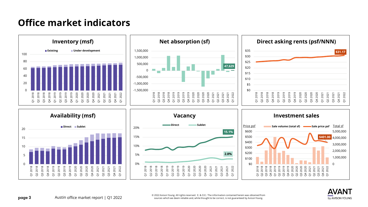### **Office market indicators**















 $\mathbf{page~3}$  and rights reserved. E. & O.E.: The information contained herein was obtained from  $\mathbf{page~3}$  and  $\mathbf{page~3}$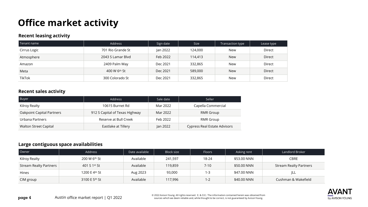## **Office market activity**

#### **Recent leasing activity**

| Tenant name   | Address           | Sign date | <b>Size</b> | Transaction type | Lease type |
|---------------|-------------------|-----------|-------------|------------------|------------|
| Cirrus Logic  | 701 Rio Grande St | Jan 2022  | 124,000     | New              | Direct     |
| Atmosphere    | 2043 S Lamar Blyd | Feb 2022  | 114,413     | <b>New</b>       | Direct     |
| Amazon        | 2409 Palm Way     | Dec 2021  | 332,865     | <b>New</b>       | Direct     |
| Meta          | 400 W 6th St      | Dec 2021  | 589,000     | <b>New</b>       | Direct     |
| <b>TikTok</b> | 300 Colorado St   | Dec 2021  | 332,865     | New              | Direct     |

#### **Recent sales activity**

| Buyer                        | Address                        | Sale date | Seller                              |
|------------------------------|--------------------------------|-----------|-------------------------------------|
| Kilroy Realty                | 10615 Burnet Rd                | Mar 2022  | Capella Commercial                  |
| Oakpoint Capital Partners    | 912 S Capital of Texas Highway | Mar 2022  | RMR Group                           |
| Urbana Partners              | Reserve at Bull Creek          | Feb 2022  | RMR Group                           |
| <b>Walton Street Capital</b> | Eastlake at Tillery            | Jan 2022  | <b>Cypress Real Estate Advisors</b> |

### **Large contiguous space availabilities**

| Owner                         | Address       | Date available | Block size | <b>Floors</b> | Asking rent | Landlord Broker               |
|-------------------------------|---------------|----------------|------------|---------------|-------------|-------------------------------|
| Kilroy Realty                 | 200 W 6th St  | Available      | 241,597    | 18-24         | \$53.00 NNN | <b>CBRE</b>                   |
| <b>Stream Realty Partners</b> | 401 S 1st St  | Available      | 119,859    | $7-10$        | \$50.00 NNN | <b>Stream Realty Partners</b> |
| <b>Hines</b>                  | 1200 E 4th St | Aug 2023       | 93,000     | $1 - 3$       | \$47.00 NNN | ∣∟∟                           |
| CIM group                     | 3100 E 5th St | Available      | 117,996    | 1-2           | \$40.00 NNN | Cushman & Wakefield           |

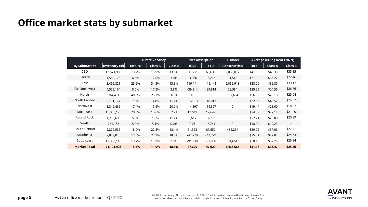### **Office market stats by submarket**

|                      |                | <b>Direct Vacancy</b> |                | <b>Net Absorption</b> |             | <b>SF Under</b> | <b>Average Asking Rent (NNN)</b> |              |                |                          |
|----------------------|----------------|-----------------------|----------------|-----------------------|-------------|-----------------|----------------------------------|--------------|----------------|--------------------------|
| <b>By Submarket</b>  | Inventory (sf) | <b>Total %</b>        | <b>Class A</b> | <b>Class B</b>        | <b>1Q22</b> | <b>YTD</b>      | <b>Construction</b>              | <b>Total</b> | <b>Class A</b> | <b>Class B</b>           |
| CBD                  | 13,571,980     | 13.7%                 | 13.9%          | 13.8%                 | 66,638      | 66,638          | 2,065,017                        | \$41.60      | \$43.33        | \$35.85                  |
| Central              | 1,580,128      | 6.6%                  | 12.0%          | 3.0%                  | $-3,266$    | $-3,266$        | 91,548                           | \$31.92      | \$36.27        | \$22.46                  |
| East                 | 3,459,821      | 25.2%                 | 34.5%          | 13.8%                 | 119,141     | 119,141         | 2,059,918                        | \$38.26      | \$39.80        | \$33.12                  |
| <b>Far Northwest</b> | 4,555,164      | 8.0%                  | 17.5%          | 3.8%                  | $-39,814$   | $-39,814$       | 22,584                           | \$25.29      | \$24.55        | \$26.76                  |
| North                | 914,401        | 48.6%                 | 23.7%          | 56.8%                 | 0           | 0               | 707,604                          | \$26.05      | \$28.10        | \$25.04                  |
| North Central        | 9,711,174      | 7.8%                  | 3.4%           | 11.2%                 | $-16,013$   | $-16,013$       | $\mathbf 0$                      | \$32.67      | \$43.57        | \$24.82                  |
| Northeast            | 3,349,462      | 17.4%                 | 15.6%          | 20.0%                 | $-14,397$   | $-14,397$       | 0                                | \$19.44      | \$28.00        | \$18.82                  |
| Northwest            | 15,063,173     | 20.6%                 | 10.6%          | 32.2%                 | 12,649      | 12,649          | $\mathbf 0$                      | \$24.59      | \$27.14        | \$21.40                  |
| Round Rock           | 1,203,688      | 5.6%                  | 1.0%           | 11.2%                 | 3,617       | 3,617           | 0                                | \$22.21      | \$23.89        | \$20.99                  |
| South                | 264,188        | 5.2%                  | 5.1%           | 0.0%                  | $-7,761$    | $-7,761$        | $\Omega$                         | \$18.00      | \$19.23        | $\overline{\phantom{a}}$ |
| South Central        | 2,279,536      | 18.0%                 | 22.5%          | 18.4%                 | 61,552      | 61,552          | 485,234                          | \$29.02      | \$37.06        | \$27.71                  |
| Southeast            | 2,879,048      | 17.3%                 | 27.9%          | 18.5%                 | $-42,779$   | $-42,779$       | $\mathbf{0}$                     | \$25.01      | \$27.04        | \$24.53                  |
| Southwest            | 12,360,145     | 13.7%                 | 13.9%          | 2.5%                  | -91,938     | $-91,938$       | 34,661                           | \$30.13      | \$32.25        | \$26.34                  |
| <b>Market Total</b>  | 71,191,908     | 15.1%                 | 11.9%          | 18.3%                 | 47,629      | 47,629          | 5,466,566                        | \$31.17      | \$35.47        | \$25.56                  |

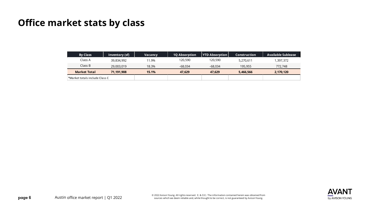### **Office market stats by class**

| <b>By Class</b>                | Inventory (sf) | <b>Vacancy</b> | <b>10 Absorption</b> | <b>YTD Absorption</b> | <b>Construction</b> | Available Sublease |
|--------------------------------|----------------|----------------|----------------------|-----------------------|---------------------|--------------------|
| Class A                        | 39,834,992     | 11.9%          | 120,590              | 120,590               | 5,270,611           | 1,397,372          |
| Class B                        | 29,003,019     | 18.3%          | $-68.034$            | $-68.034$             | 195,955             | 772,748            |
| <b>Market Total</b>            | 71.191.908     | 15.1%          | 47.629               | 47.629                | 5,466,566           | 2,170,120          |
| *Market totals include Class C |                |                |                      |                       |                     |                    |